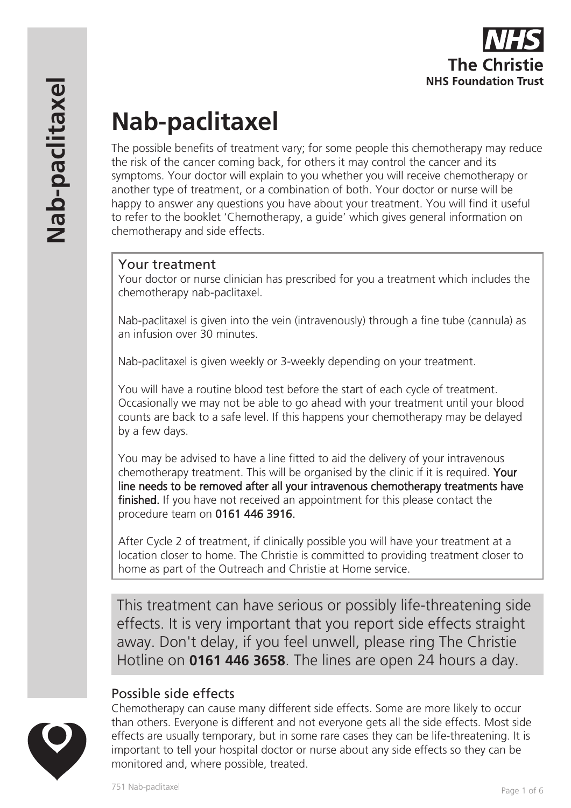

# **Nab-paclitaxel**

The possible benefits of treatment vary; for some people this chemotherapy may reduce the risk of the cancer coming back, for others it may control the cancer and its symptoms. Your doctor will explain to you whether you will receive chemotherapy or another type of treatment, or a combination of both. Your doctor or nurse will be happy to answer any questions you have about your treatment. You will find it useful to refer to the booklet 'Chemotherapy, a guide' which gives general information on chemotherapy and side effects.

# Your treatment

Your doctor or nurse clinician has prescribed for you a treatment which includes the chemotherapy nab-paclitaxel.

Nab-paclitaxel is given into the vein (intravenously) through a fine tube (cannula) as an infusion over 30 minutes.

Nab-paclitaxel is given weekly or 3-weekly depending on your treatment.

You will have a routine blood test before the start of each cycle of treatment. Occasionally we may not be able to go ahead with your treatment until your blood counts are back to a safe level. If this happens your chemotherapy may be delayed by a few days.

You may be advised to have a line fitted to aid the delivery of your intravenous chemotherapy treatment. This will be organised by the clinic if it is required. Your line needs to be removed after all your intravenous chemotherapy treatments have finished. If you have not received an appointment for this please contact the procedure team on 0161 446 3916.

After Cycle 2 of treatment, if clinically possible you will have your treatment at a location closer to home. The Christie is committed to providing treatment closer to home as part of the Outreach and Christie at Home service.

This treatment can have serious or possibly life-threatening side effects. It is very important that you report side effects straight away. Don't delay, if you feel unwell, please ring The Christie Hotline on **0161 446 3658**. The lines are open 24 hours a day.

# Possible side effects



Chemotherapy can cause many different side effects. Some are more likely to occur than others. Everyone is different and not everyone gets all the side effects. Most side effects are usually temporary, but in some rare cases they can be life-threatening. It is important to tell your hospital doctor or nurse about any side effects so they can be monitored and, where possible, treated.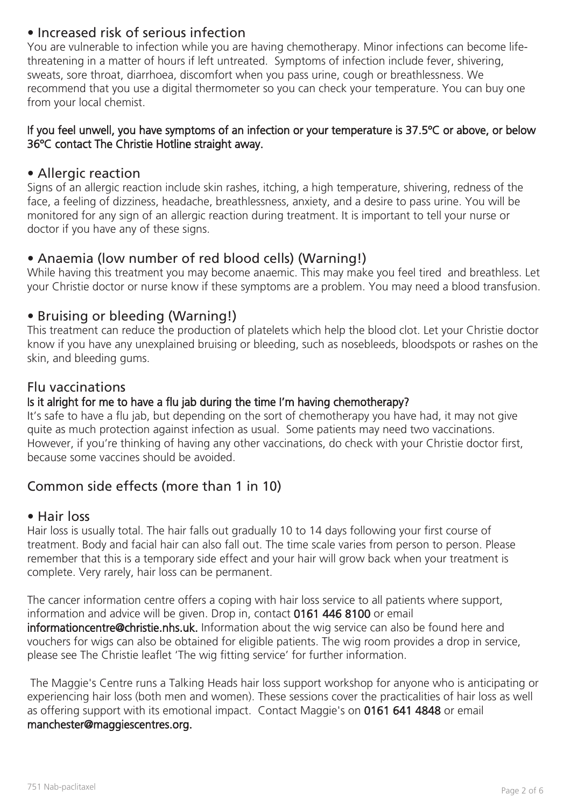# • Increased risk of serious infection

You are vulnerable to infection while you are having chemotherapy. Minor infections can become lifethreatening in a matter of hours if left untreated. Symptoms of infection include fever, shivering, sweats, sore throat, diarrhoea, discomfort when you pass urine, cough or breathlessness. We recommend that you use a digital thermometer so you can check your temperature. You can buy one from your local chemist.

#### If you feel unwell, you have symptoms of an infection or your temperature is 37.5ºC or above, or below 36ºC contact The Christie Hotline straight away.

### • Allergic reaction

Signs of an allergic reaction include skin rashes, itching, a high temperature, shivering, redness of the face, a feeling of dizziness, headache, breathlessness, anxiety, and a desire to pass urine. You will be monitored for any sign of an allergic reaction during treatment. It is important to tell your nurse or doctor if you have any of these signs.

## • Anaemia (low number of red blood cells) (Warning!)

While having this treatment you may become anaemic. This may make you feel tired and breathless. Let your Christie doctor or nurse know if these symptoms are a problem. You may need a blood transfusion.

## • Bruising or bleeding (Warning!)

This treatment can reduce the production of platelets which help the blood clot. Let your Christie doctor know if you have any unexplained bruising or bleeding, such as nosebleeds, bloodspots or rashes on the skin, and bleeding gums.

#### Flu vaccinations

#### Is it alright for me to have a flu jab during the time I'm having chemotherapy?

It's safe to have a flu jab, but depending on the sort of chemotherapy you have had, it may not give quite as much protection against infection as usual. Some patients may need two vaccinations. However, if you're thinking of having any other vaccinations, do check with your Christie doctor first, because some vaccines should be avoided.

# Common side effects (more than 1 in 10)

#### • Hair loss

Hair loss is usually total. The hair falls out gradually 10 to 14 days following your first course of treatment. Body and facial hair can also fall out. The time scale varies from person to person. Please remember that this is a temporary side effect and your hair will grow back when your treatment is complete. Very rarely, hair loss can be permanent.

The cancer information centre offers a coping with hair loss service to all patients where support, information and advice will be given. Drop in, contact 0161 446 8100 or email informationcentre@christie.nhs.uk. Information about the wig service can also be found here and vouchers for wigs can also be obtained for eligible patients. The wig room provides a drop in service, please see The Christie leaflet 'The wig fitting service' for further information.

 The Maggie's Centre runs a Talking Heads hair loss support workshop for anyone who is anticipating or experiencing hair loss (both men and women). These sessions cover the practicalities of hair loss as well as offering support with its emotional impact. Contact Maggie's on 0161 641 4848 or email manchester@maggiescentres.org.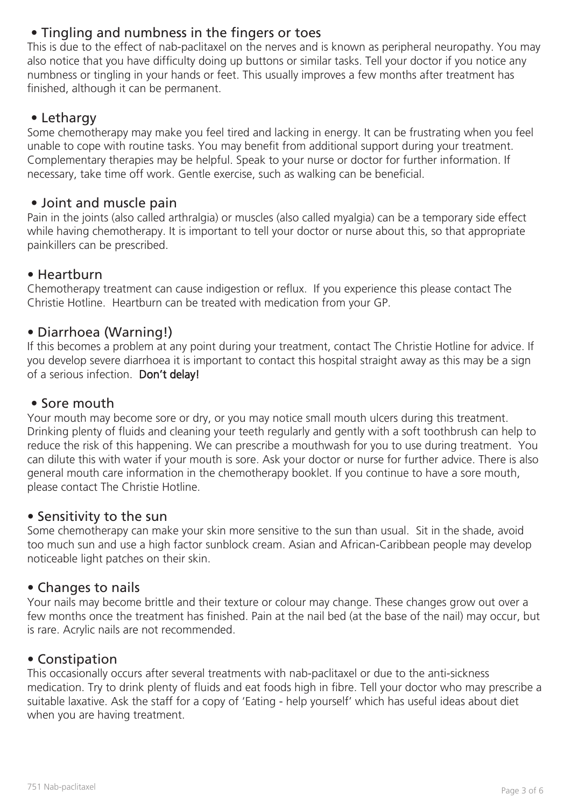# • Tingling and numbness in the fingers or toes

This is due to the effect of nab-paclitaxel on the nerves and is known as peripheral neuropathy. You may also notice that you have difficulty doing up buttons or similar tasks. Tell your doctor if you notice any numbness or tingling in your hands or feet. This usually improves a few months after treatment has finished, although it can be permanent.

# • Lethargy

Some chemotherapy may make you feel tired and lacking in energy. It can be frustrating when you feel unable to cope with routine tasks. You may benefit from additional support during your treatment. Complementary therapies may be helpful. Speak to your nurse or doctor for further information. If necessary, take time off work. Gentle exercise, such as walking can be beneficial.

## • Joint and muscle pain

Pain in the joints (also called arthralgia) or muscles (also called myalgia) can be a temporary side effect while having chemotherapy. It is important to tell your doctor or nurse about this, so that appropriate painkillers can be prescribed.

# • Heartburn

Chemotherapy treatment can cause indigestion or reflux. If you experience this please contact The Christie Hotline. Heartburn can be treated with medication from your GP.

# • Diarrhoea (Warning!)

If this becomes a problem at any point during your treatment, contact The Christie Hotline for advice. If you develop severe diarrhoea it is important to contact this hospital straight away as this may be a sign of a serious infection. Don't delay!

## • Sore mouth

Your mouth may become sore or dry, or you may notice small mouth ulcers during this treatment. Drinking plenty of fluids and cleaning your teeth regularly and gently with a soft toothbrush can help to reduce the risk of this happening. We can prescribe a mouthwash for you to use during treatment. You can dilute this with water if your mouth is sore. Ask your doctor or nurse for further advice. There is also general mouth care information in the chemotherapy booklet. If you continue to have a sore mouth, please contact The Christie Hotline.

## • Sensitivity to the sun

Some chemotherapy can make your skin more sensitive to the sun than usual. Sit in the shade, avoid too much sun and use a high factor sunblock cream. Asian and African-Caribbean people may develop noticeable light patches on their skin.

# • Changes to nails

Your nails may become brittle and their texture or colour may change. These changes grow out over a few months once the treatment has finished. Pain at the nail bed (at the base of the nail) may occur, but is rare. Acrylic nails are not recommended.

## • Constipation

This occasionally occurs after several treatments with nab-paclitaxel or due to the anti-sickness medication. Try to drink plenty of fluids and eat foods high in fibre. Tell your doctor who may prescribe a suitable laxative. Ask the staff for a copy of 'Eating - help yourself' which has useful ideas about diet when you are having treatment.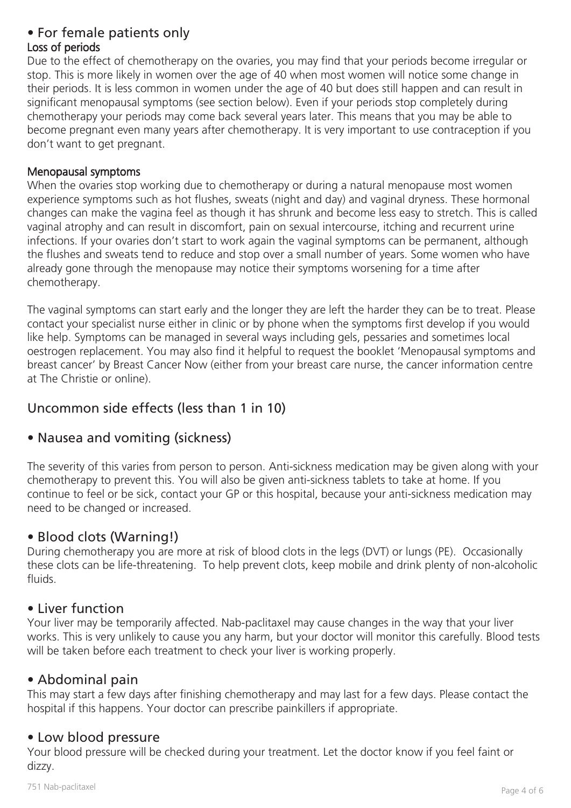# • For female patients only

# Loss of periods

Due to the effect of chemotherapy on the ovaries, you may find that your periods become irregular or stop. This is more likely in women over the age of 40 when most women will notice some change in their periods. It is less common in women under the age of 40 but does still happen and can result in significant menopausal symptoms (see section below). Even if your periods stop completely during chemotherapy your periods may come back several years later. This means that you may be able to become pregnant even many years after chemotherapy. It is very important to use contraception if you don't want to get pregnant.

#### Menopausal symptoms

When the ovaries stop working due to chemotherapy or during a natural menopause most women experience symptoms such as hot flushes, sweats (night and day) and vaginal dryness. These hormonal changes can make the vagina feel as though it has shrunk and become less easy to stretch. This is called vaginal atrophy and can result in discomfort, pain on sexual intercourse, itching and recurrent urine infections. If your ovaries don't start to work again the vaginal symptoms can be permanent, although the flushes and sweats tend to reduce and stop over a small number of years. Some women who have already gone through the menopause may notice their symptoms worsening for a time after chemotherapy.

The vaginal symptoms can start early and the longer they are left the harder they can be to treat. Please contact your specialist nurse either in clinic or by phone when the symptoms first develop if you would like help. Symptoms can be managed in several ways including gels, pessaries and sometimes local oestrogen replacement. You may also find it helpful to request the booklet 'Menopausal symptoms and breast cancer' by Breast Cancer Now (either from your breast care nurse, the cancer information centre at The Christie or online).

# Uncommon side effects (less than 1 in 10)

# • Nausea and vomiting (sickness)

The severity of this varies from person to person. Anti-sickness medication may be given along with your chemotherapy to prevent this. You will also be given anti-sickness tablets to take at home. If you continue to feel or be sick, contact your GP or this hospital, because your anti-sickness medication may need to be changed or increased.

# • Blood clots (Warning!)

During chemotherapy you are more at risk of blood clots in the legs (DVT) or lungs (PE). Occasionally these clots can be life-threatening. To help prevent clots, keep mobile and drink plenty of non-alcoholic fluids.

## • Liver function

Your liver may be temporarily affected. Nab-paclitaxel may cause changes in the way that your liver works. This is very unlikely to cause you any harm, but your doctor will monitor this carefully. Blood tests will be taken before each treatment to check your liver is working properly.

# • Abdominal pain

This may start a few days after finishing chemotherapy and may last for a few days. Please contact the hospital if this happens. Your doctor can prescribe painkillers if appropriate.

# • Low blood pressure

Your blood pressure will be checked during your treatment. Let the doctor know if you feel faint or dizzy.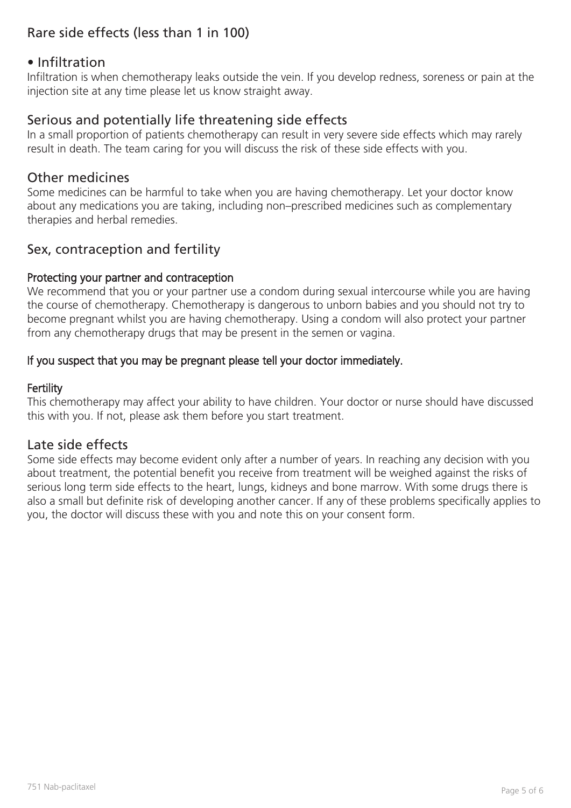# Rare side effects (less than 1 in 100)

## • Infiltration

Infiltration is when chemotherapy leaks outside the vein. If you develop redness, soreness or pain at the injection site at any time please let us know straight away.

## Serious and potentially life threatening side effects

In a small proportion of patients chemotherapy can result in very severe side effects which may rarely result in death. The team caring for you will discuss the risk of these side effects with you.

## Other medicines

Some medicines can be harmful to take when you are having chemotherapy. Let your doctor know about any medications you are taking, including non–prescribed medicines such as complementary therapies and herbal remedies.

## Sex, contraception and fertility

#### Protecting your partner and contraception

We recommend that you or your partner use a condom during sexual intercourse while you are having the course of chemotherapy. Chemotherapy is dangerous to unborn babies and you should not try to become pregnant whilst you are having chemotherapy. Using a condom will also protect your partner from any chemotherapy drugs that may be present in the semen or vagina.

#### If you suspect that you may be pregnant please tell your doctor immediately.

#### Fertility

This chemotherapy may affect your ability to have children. Your doctor or nurse should have discussed this with you. If not, please ask them before you start treatment.

## Late side effects

Some side effects may become evident only after a number of years. In reaching any decision with you about treatment, the potential benefit you receive from treatment will be weighed against the risks of serious long term side effects to the heart, lungs, kidneys and bone marrow. With some drugs there is also a small but definite risk of developing another cancer. If any of these problems specifically applies to you, the doctor will discuss these with you and note this on your consent form.